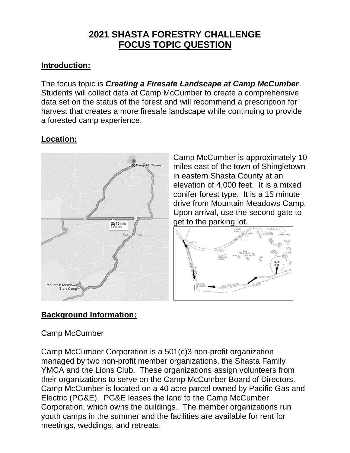# **2021 SHASTA FORESTRY CHALLENGE FOCUS TOPIC QUESTION**

## **Introduction:**

The focus topic is *Creating a Firesafe Landscape at Camp McCumber*. Students will collect data at Camp McCumber to create a comprehensive data set on the status of the forest and will recommend a prescription for harvest that creates a more firesafe landscape while continuing to provide a forested camp experience.

# **Location:**



Camp McCumber is approximately 10 miles east of the town of Shingletown in eastern Shasta County at an elevation of 4,000 feet. It is a mixed conifer forest type. It is a 15 minute drive from Mountain Meadows Camp. Upon arrival, use the second gate to get to the parking lot.



# **Background Information:**

### Camp McCumber

Camp McCumber Corporation is a 501(c)3 non-profit organization managed by two non-profit member organizations, the Shasta Family YMCA and the Lions Club. These organizations assign volunteers from their organizations to serve on the Camp McCumber Board of Directors. Camp McCumber is located on a 40 acre parcel owned by Pacific Gas and Electric (PG&E). PG&E leases the land to the Camp McCumber Corporation, which owns the buildings. The member organizations run youth camps in the summer and the facilities are available for rent for meetings, weddings, and retreats.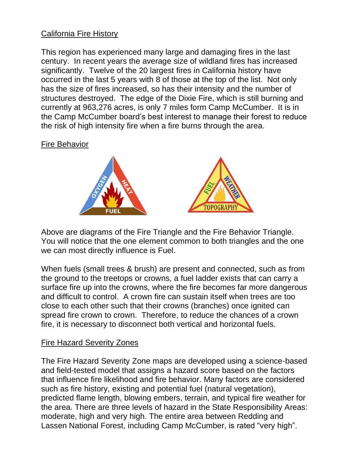### California Fire History

This region has experienced many large and damaging fires in the last century. In recent years the average size of wildland fires has increased significantly. Twelve of the 20 largest fires in California history have occurred in the last 5 years with 8 of those at the top of the list. Not only has the size of fires increased, so has their intensity and the number of structures destroyed. The edge of the Dixie Fire, which is still burning and currently at 963,276 acres, is only 7 miles form Camp McCumber. It is in the Camp McCumber board's best interest to manage their forest to reduce the risk of high intensity fire when a fire burns through the area.

#### Fire Behavior



Above are diagrams of the Fire Triangle and the Fire Behavior Triangle. You will notice that the one element common to both triangles and the one we can most directly influence is Fuel.

When fuels (small trees & brush) are present and connected, such as from the ground to the treetops or crowns, a fuel ladder exists that can carry a surface fire up into the crowns, where the fire becomes far more dangerous and difficult to control. A crown fire can sustain itself when trees are too close to each other such that their crowns (branches) once ignited can spread fire crown to crown. Therefore, to reduce the chances of a crown fire, it is necessary to disconnect both vertical and horizontal fuels.

#### Fire Hazard Severity Zones

The Fire Hazard Severity Zone maps are developed using a science-based and field-tested model that assigns a hazard score based on the factors that influence fire likelihood and fire behavior. Many factors are considered such as fire history, existing and potential fuel (natural vegetation), predicted flame length, blowing embers, terrain, and typical fire weather for the area. There are three levels of hazard in the State Responsibility Areas: moderate, high and very high. The entire area between Redding and Lassen National Forest, including Camp McCumber, is rated "very high".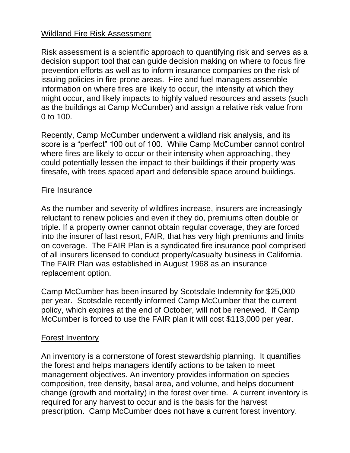#### Wildland Fire Risk Assessment

Risk assessment is a scientific approach to quantifying risk and serves as a decision support tool that can guide decision making on where to focus fire prevention efforts as well as to inform insurance companies on the risk of issuing policies in fire-prone areas. Fire and fuel managers assemble information on where fires are likely to occur, the intensity at which they might occur, and likely impacts to highly valued resources and assets (such as the buildings at Camp McCumber) and assign a relative risk value from 0 to 100.

Recently, Camp McCumber underwent a wildland risk analysis, and its score is a "perfect" 100 out of 100. While Camp McCumber cannot control where fires are likely to occur or their intensity when approaching, they could potentially lessen the impact to their buildings if their property was firesafe, with trees spaced apart and defensible space around buildings.

#### Fire Insurance

As the number and severity of wildfires increase, insurers are increasingly reluctant to renew policies and even if they do, premiums often double or triple. If a property owner cannot obtain regular coverage, they are forced into the insurer of last resort, FAIR, that has very high premiums and limits on coverage. The FAIR Plan is a syndicated fire insurance pool comprised of all insurers licensed to conduct property/casualty business in California. The FAIR Plan was established in August 1968 as an insurance replacement option.

Camp McCumber has been insured by Scotsdale Indemnity for \$25,000 per year. Scotsdale recently informed Camp McCumber that the current policy, which expires at the end of October, will not be renewed. If Camp McCumber is forced to use the FAIR plan it will cost \$113,000 per year.

### Forest Inventory

An inventory is a cornerstone of forest stewardship planning. It quantifies the forest and helps managers identify actions to be taken to meet management objectives. An inventory provides information on species composition, tree density, basal area, and volume, and helps document change (growth and mortality) in the forest over time. A current inventory is required for any harvest to occur and is the basis for the harvest prescription. Camp McCumber does not have a current forest inventory.